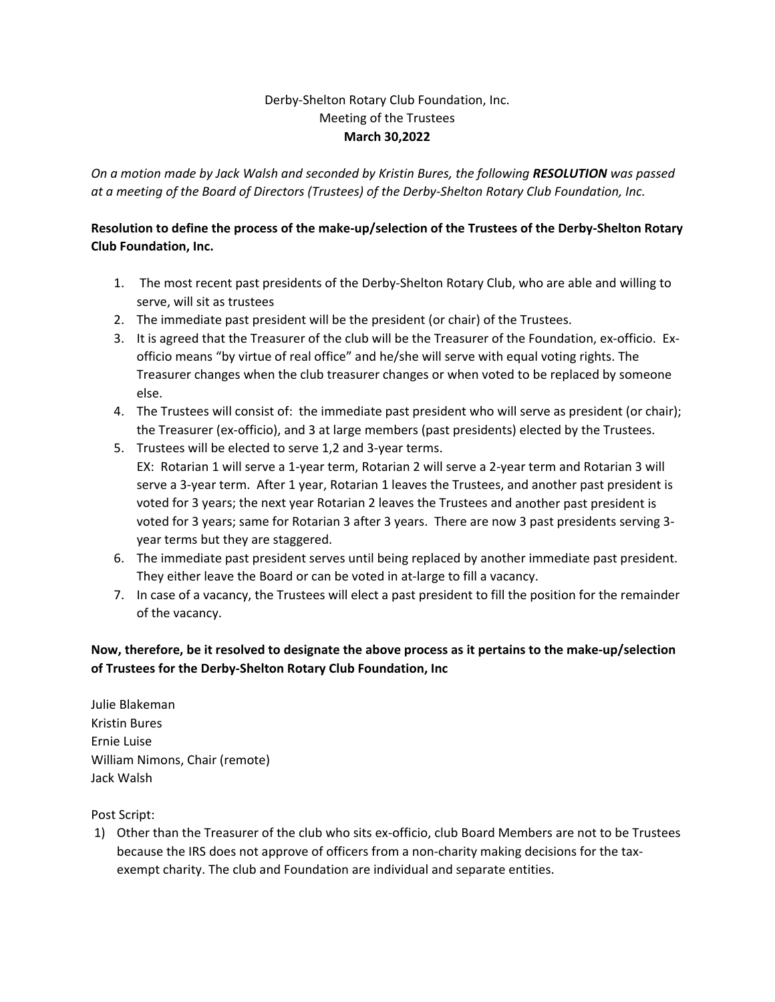## Derby‐Shelton Rotary Club Foundation, Inc. Meeting of the Trustees **March 30,2022**

*On a motion made by Jack Walsh and seconded by Kristin Bures, the following RESOLUTION was passed* at a meeting of the Board of Directors (Trustees) of the Derby-Shelton Rotary Club Foundation, Inc.

## Resolution to define the process of the make-up/selection of the Trustees of the Derby-Shelton Rotary **Club Foundation, Inc.**

- 1. The most recent past presidents of the Derby‐Shelton Rotary Club, who are able and willing to serve, will sit as trustees
- 2. The immediate past president will be the president (or chair) of the Trustees.
- 3. It is agreed that the Treasurer of the club will be the Treasurer of the Foundation, ex‐officio. Ex‐ officio means "by virtue of real office" and he/she will serve with equal voting rights. The Treasurer changes when the club treasurer changes or when voted to be replaced by someone else.
- 4. The Trustees will consist of: the immediate past president who will serve as president (or chair); the Treasurer (ex‐officio), and 3 at large members (past presidents) elected by the Trustees.
- 5. Trustees will be elected to serve 1,2 and 3‐year terms. EX: Rotarian 1 will serve a 1‐year term, Rotarian 2 will serve a 2‐year term and Rotarian 3 will serve a 3‐year term. After 1 year, Rotarian 1 leaves the Trustees, and another past president is voted for 3 years; the next year Rotarian 2 leaves the Trustees and another past president is voted for 3 years; same for Rotarian 3 after 3 years. There are now 3 past presidents serving 3‐ year terms but they are staggered.
- 6. The immediate past president serves until being replaced by another immediate past president. They either leave the Board or can be voted in at-large to fill a vacancy.
- 7. In case of a vacancy, the Trustees will elect a past president to fill the position for the remainder of the vacancy.

## Now, therefore, be it resolved to designate the above process as it pertains to the make-up/selection **of Trustees for the Derby‐Shelton Rotary Club Foundation, Inc**

Julie Blakeman Kristin Bures Ernie Luise William Nimons, Chair (remote) Jack Walsh

Post Script:

1) Other than the Treasurer of the club who sits ex‐officio, club Board Members are not to be Trustees because the IRS does not approve of officers from a non-charity making decisions for the taxexempt charity. The club and Foundation are individual and separate entities.